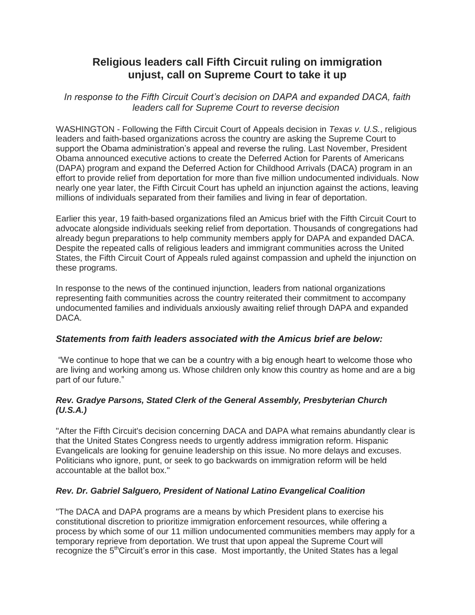# **Religious leaders call Fifth Circuit ruling on immigration unjust, call on Supreme Court to take it up**

*In response to the Fifth Circuit Court's decision on DAPA and expanded DACA, faith leaders call for Supreme Court to reverse decision*

WASHINGTON - Following the Fifth Circuit Court of Appeals decision in *Texas v. U.S.*, religious leaders and faith-based organizations across the country are asking the Supreme Court to support the Obama administration's appeal and reverse the ruling. Last November, President Obama announced executive actions to create the Deferred Action for Parents of Americans (DAPA) program and expand the Deferred Action for Childhood Arrivals (DACA) program in an effort to provide relief from deportation for more than five million undocumented individuals. Now nearly one year later, the Fifth Circuit Court has upheld an injunction against the actions, leaving millions of individuals separated from their families and living in fear of deportation.

Earlier this year, 19 faith-based organizations filed an Amicus brief with the Fifth Circuit Court to advocate alongside individuals seeking relief from deportation. Thousands of congregations had already begun preparations to help community members apply for DAPA and expanded DACA. Despite the repeated calls of religious leaders and immigrant communities across the United States, the Fifth Circuit Court of Appeals ruled against compassion and upheld the injunction on these programs.

In response to the news of the continued injunction, leaders from national organizations representing faith communities across the country reiterated their commitment to accompany undocumented families and individuals anxiously awaiting relief through DAPA and expanded DACA.

# *Statements from faith leaders associated with the Amicus brief are below:*

"We continue to hope that we can be a country with a big enough heart to welcome those who are living and working among us. Whose children only know this country as home and are a big part of our future."

## *Rev. Gradye Parsons, Stated Clerk of the General Assembly, Presbyterian Church (U.S.A.)*

"After the Fifth Circuit's decision concerning DACA and DAPA what remains abundantly clear is that the United States Congress needs to urgently address immigration reform. Hispanic Evangelicals are looking for genuine leadership on this issue. No more delays and excuses. Politicians who ignore, punt, or seek to go backwards on immigration reform will be held accountable at the ballot box."

# *Rev. Dr. Gabriel Salguero, President of National Latino Evangelical Coalition*

"The DACA and DAPA programs are a means by which President plans to exercise his constitutional discretion to prioritize immigration enforcement resources, while offering a process by which some of our 11 million undocumented communities members may apply for a temporary reprieve from deportation. We trust that upon appeal the Supreme Court will recognize the 5<sup>th</sup>Circuit's error in this case. Most importantly, the United States has a legal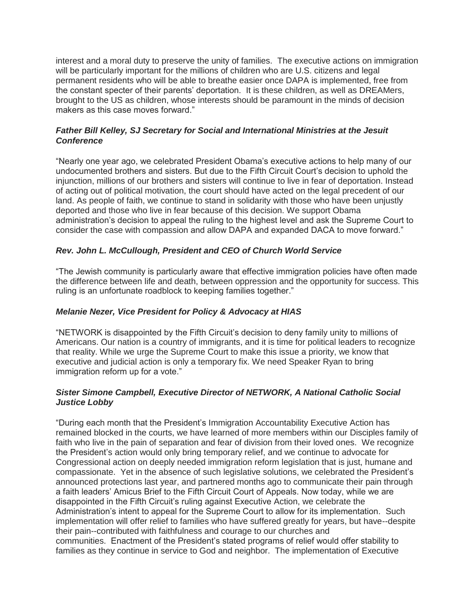interest and a moral duty to preserve the unity of families. The executive actions on immigration will be particularly important for the millions of children who are U.S. citizens and legal permanent residents who will be able to breathe easier once DAPA is implemented, free from the constant specter of their parents' deportation. It is these children, as well as DREAMers, brought to the US as children, whose interests should be paramount in the minds of decision makers as this case moves forward."

#### *Father Bill Kelley, SJ Secretary for Social and International Ministries at the Jesuit Conference*

"Nearly one year ago, we celebrated President Obama's executive actions to help many of our undocumented brothers and sisters. But due to the Fifth Circuit Court's decision to uphold the injunction, millions of our brothers and sisters will continue to live in fear of deportation. Instead of acting out of political motivation, the court should have acted on the legal precedent of our land. As people of faith, we continue to stand in solidarity with those who have been unjustly deported and those who live in fear because of this decision. We support Obama administration's decision to appeal the ruling to the highest level and ask the Supreme Court to consider the case with compassion and allow DAPA and expanded DACA to move forward."

## *Rev. John L. McCullough, President and CEO of Church World Service*

"The Jewish community is particularly aware that effective immigration policies have often made the difference between life and death, between oppression and the opportunity for success. This ruling is an unfortunate roadblock to keeping families together."

#### *Melanie Nezer, Vice President for Policy & Advocacy at HIAS*

"NETWORK is disappointed by the Fifth Circuit's decision to deny family unity to millions of Americans. Our nation is a country of immigrants, and it is time for political leaders to recognize that reality. While we urge the Supreme Court to make this issue a priority, we know that executive and judicial action is only a temporary fix. We need Speaker Ryan to bring immigration reform up for a vote."

#### *Sister Simone Campbell, Executive Director of NETWORK, A National Catholic Social Justice Lobby*

"During each month that the President's Immigration Accountability Executive Action has remained blocked in the courts, we have learned of more members within our Disciples family of faith who live in the pain of separation and fear of division from their loved ones. We recognize the President's action would only bring temporary relief, and we continue to advocate for Congressional action on deeply needed immigration reform legislation that is just, humane and compassionate. Yet in the absence of such legislative solutions, we celebrated the President's announced protections last year, and partnered months ago to communicate their pain through a faith leaders' Amicus Brief to the Fifth Circuit Court of Appeals. Now today, while we are disappointed in the Fifth Circuit's ruling against Executive Action, we celebrate the Administration's intent to appeal for the Supreme Court to allow for its implementation. Such implementation will offer relief to families who have suffered greatly for years, but have--despite their pain--contributed with faithfulness and courage to our churches and communities. Enactment of the President's stated programs of relief would offer stability to families as they continue in service to God and neighbor. The implementation of Executive